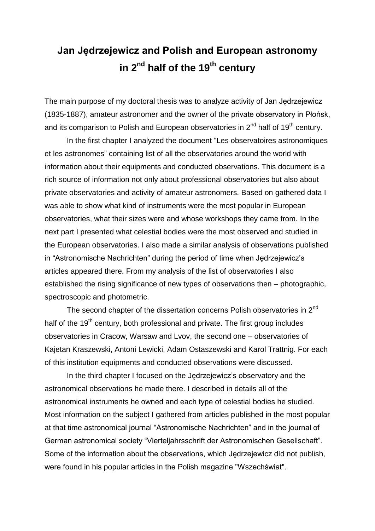## **Jan Jędrzejewicz and Polish and European astronomy in 2nd half of the 19th century**

The main purpose of my doctoral thesis was to analyze activity of Jan Jędrzejewicz (1835-1887), amateur astronomer and the owner of the private observatory in Płońsk, and its comparison to Polish and European observatories in  $2^{nd}$  half of 19<sup>th</sup> century.

In the first chapter I analyzed the document "Les observatoires astronomiques et les astronomes" containing list of all the observatories around the world with information about their equipments and conducted observations. This document is a rich source of information not only about professional observatories but also about private observatories and activity of amateur astronomers. Based on gathered data I was able to show what kind of instruments were the most popular in European observatories, what their sizes were and whose workshops they came from. In the next part I presented what celestial bodies were the most observed and studied in the European observatories. I also made a similar analysis of observations published in "Astronomische Nachrichten" during the period of time when Jędrzejewicz's articles appeared there. From my analysis of the list of observatories I also established the rising significance of new types of observations then – photographic, spectroscopic and photometric.

The second chapter of the dissertation concerns Polish observatories in 2<sup>nd</sup> half of the  $19<sup>th</sup>$  century, both professional and private. The first group includes observatories in Cracow, Warsaw and Lvov, the second one – observatories of Kajetan Kraszewski, Antoni Lewicki, Adam Ostaszewski and Karol Trattnig. For each of this institution equipments and conducted observations were discussed.

In the third chapter I focused on the Jędrzejewicz's observatory and the astronomical observations he made there. I described in details all of the astronomical instruments he owned and each type of celestial bodies he studied. Most information on the subject I gathered from articles published in the most popular at that time astronomical journal "Astronomische Nachrichten" and in the journal of German astronomical society "Vierteljahrsschrift der Astronomischen Gesellschaft". Some of the information about the observations, which Jędrzejewicz did not publish, were found in his popular articles in the Polish magazine "Wszechświat".